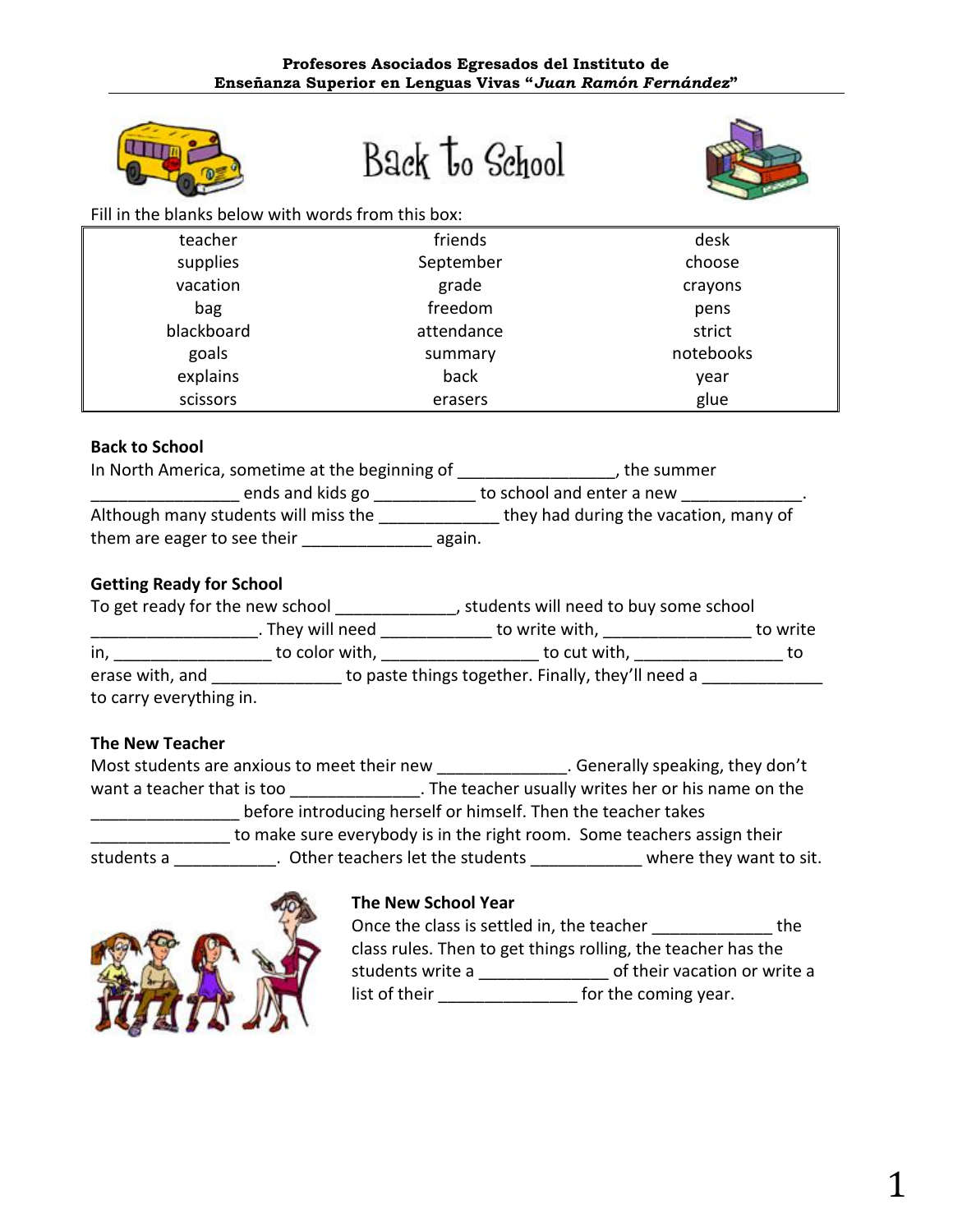

# Back to School



Fill in the blanks below with words from this box:

| teacher    | friends    | desk      |
|------------|------------|-----------|
| supplies   | September  | choose    |
| vacation   | grade      | crayons   |
| bag        | freedom    | pens      |
| blackboard | attendance | strict    |
| goals      | summary    | notebooks |
| explains   | back       | year      |
| scissors   | erasers    | glue      |

# **Back to School**

| In North America, sometime at the beginning of | , the summer                          |
|------------------------------------------------|---------------------------------------|
| ends and kids go                               | to school and enter a new             |
| Although many students will miss the           | they had during the vacation, many of |
| them are eager to see their                    | again.                                |

# **Getting Ready for School**

| To get ready for the new school |                  | students will need to buy some school             |          |  |
|---------------------------------|------------------|---------------------------------------------------|----------|--|
|                                 | . They will need | to write with,                                    | to write |  |
| in,                             | to color with,   | to cut with,                                      | tο       |  |
| erase with, and                 |                  | to paste things together. Finally, they'll need a |          |  |
| to carry everything in.         |                  |                                                   |          |  |

# **The New Teacher**

|                            | Most students are anxious to meet their new | . Generally speaking, they don't                                        |
|----------------------------|---------------------------------------------|-------------------------------------------------------------------------|
| want a teacher that is too |                                             | . The teacher usually writes her or his name on the                     |
|                            |                                             | before introducing herself or himself. Then the teacher takes           |
|                            |                                             | to make sure everybody is in the right room. Some teachers assign their |
| students a                 | . Other teachers let the students           | where they want to sit.                                                 |



# **The New School Year**

Once the class is settled in, the teacher \_\_\_\_\_\_\_\_\_\_\_\_\_\_\_\_ the class rules. Then to get things rolling, the teacher has the students write a \_\_\_\_\_\_\_\_\_\_\_\_\_\_\_\_\_\_ of their vacation or write a list of their \_\_\_\_\_\_\_\_\_\_\_\_\_\_\_\_\_\_\_ for the coming year.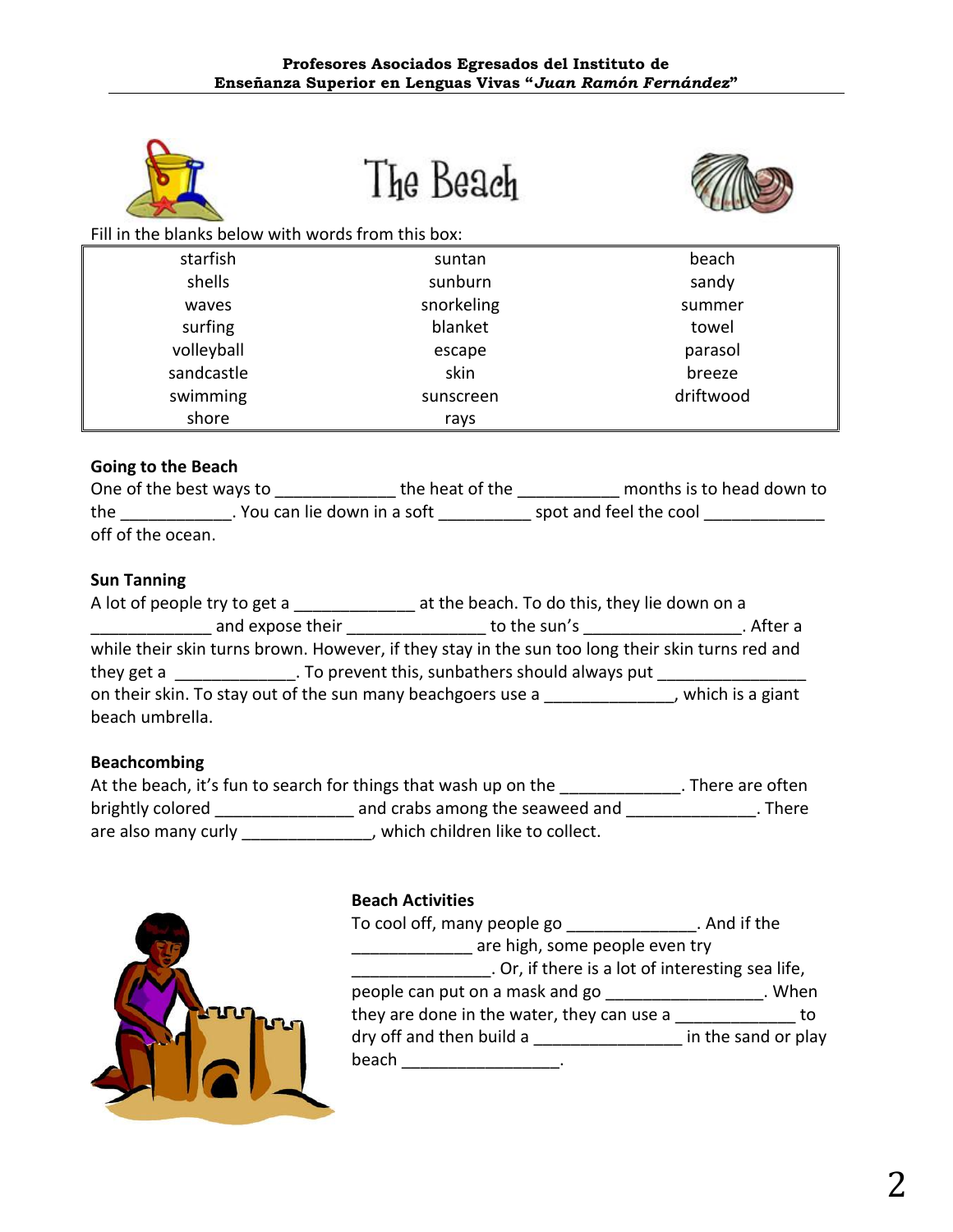

The Beach



Fill in the blanks below with words from this box:

| starfish   | suntan     | beach     |
|------------|------------|-----------|
| shells     | sunburn    | sandy     |
| waves      | snorkeling | summer    |
| surfing    | blanket    | towel     |
| volleyball | escape     | parasol   |
| sandcastle | skin       | breeze    |
| swimming   | sunscreen  | driftwood |
| shore      | rays       |           |

# **Going to the Beach**

| One of the best ways to |                            | the heat of the | months is to head down to |
|-------------------------|----------------------------|-----------------|---------------------------|
| the                     | You can lie down in a soft |                 | spot and feel the cool    |
| off of the ocean.       |                            |                 |                           |

# **Sun Tanning**

| A lot of people try to get a |                                                             | at the beach. To do this, they lie down on a                                                     |                  |
|------------------------------|-------------------------------------------------------------|--------------------------------------------------------------------------------------------------|------------------|
|                              | and expose their                                            | to the sun's                                                                                     | . After a        |
|                              |                                                             | while their skin turns brown. However, if they stay in the sun too long their skin turns red and |                  |
| they get a                   |                                                             | . To prevent this, sunbathers should always put                                                  |                  |
|                              | on their skin. To stay out of the sun many beachgoers use a |                                                                                                  | which is a giant |
| beach umbrella.              |                                                             |                                                                                                  |                  |

# **Beachcombing**

|                     | At the beach, it's fun to search for things that wash up on the | . There are often |
|---------------------|-----------------------------------------------------------------|-------------------|
| brightly colored    | and crabs among the seaweed and                                 | . There           |
| are also many curly | , which children like to collect.                               |                   |



# **Beach Activities**

| To cool off, many people go                      | . And if the        |
|--------------------------------------------------|---------------------|
| are high, some people even try                   |                     |
| . Or, if there is a lot of interesting sea life, |                     |
| people can put on a mask and go                  | . When              |
| they are done in the water, they can use a       | TΩ                  |
| dry off and then build a                         | in the sand or play |
| beach                                            |                     |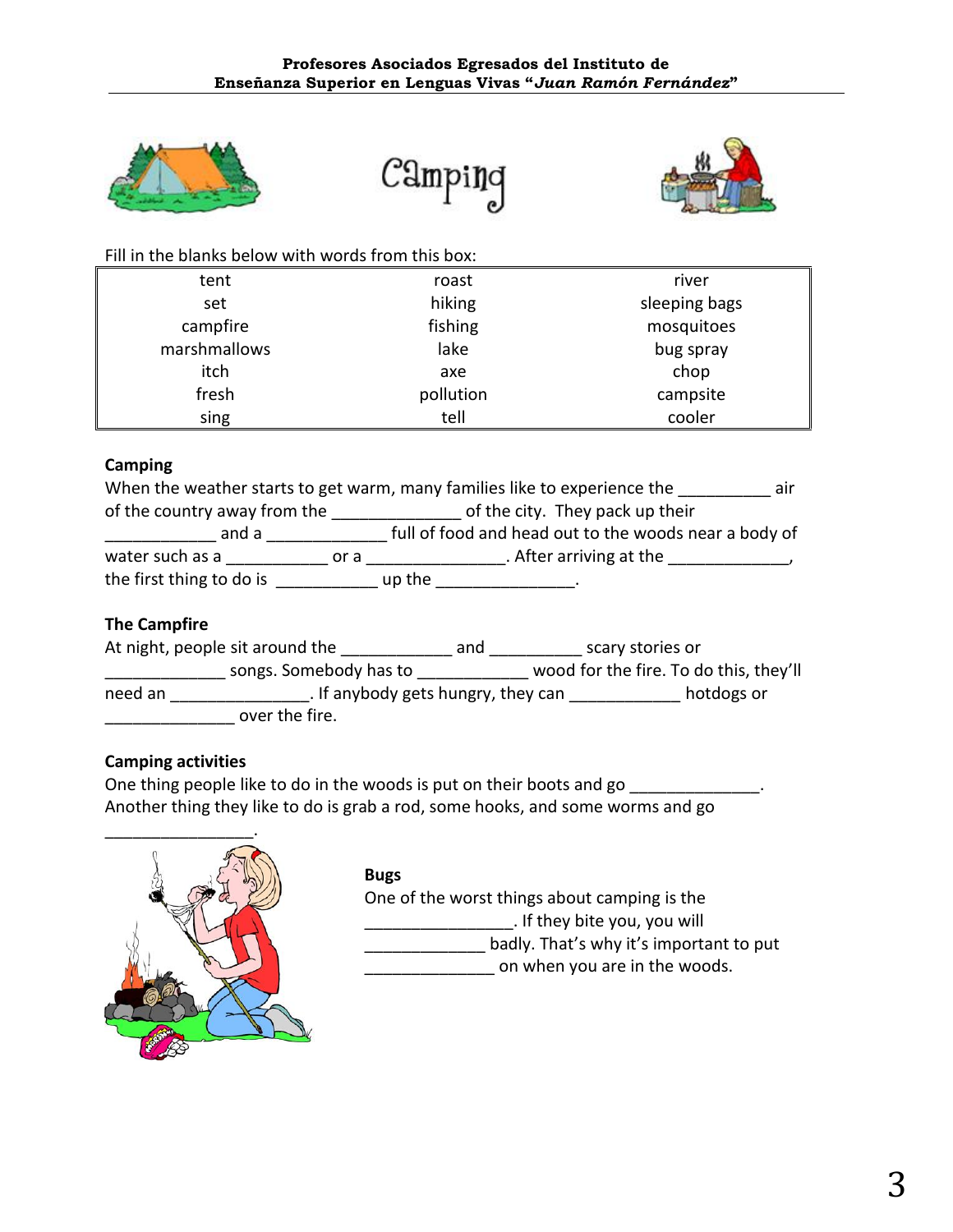





Fill in the blanks below with words from this box:

| tent         | roast     | river         |
|--------------|-----------|---------------|
| set          | hiking    | sleeping bags |
| campfire     | fishing   | mosquitoes    |
| marshmallows | lake      | bug spray     |
| itch         | axe       | chop          |
| fresh        | pollution | campsite      |
| sing         | tell      | cooler        |

# **Camping**

| When the weather starts to get warm, many families like to experience the<br>air |      |                                                       |  |
|----------------------------------------------------------------------------------|------|-------------------------------------------------------|--|
| of the country away from the                                                     |      | of the city. They pack up their                       |  |
| and a                                                                            |      | full of food and head out to the woods near a body of |  |
| water such as a                                                                  | or a | . After arriving at the                               |  |
| the first thing to do is                                                         |      | up the                                                |  |

# **The Campfire**

|                                               | At night, people sit around the | and        | scary stories or                       |
|-----------------------------------------------|---------------------------------|------------|----------------------------------------|
|                                               | songs. Somebody has to          |            | wood for the fire. To do this, they'll |
| . If anybody gets hungry, they can<br>need an |                                 | hotdogs or |                                        |
|                                               | over the fire.                  |            |                                        |

# **Camping activities**

One thing people like to do in the woods is put on their boots and go Another thing they like to do is grab a rod, some hooks, and some worms and go



# **Bugs**

One of the worst things about camping is the \_\_\_\_\_\_\_\_\_\_\_\_\_\_\_\_. If they bite you, you will badly. That's why it's important to put on when you are in the woods.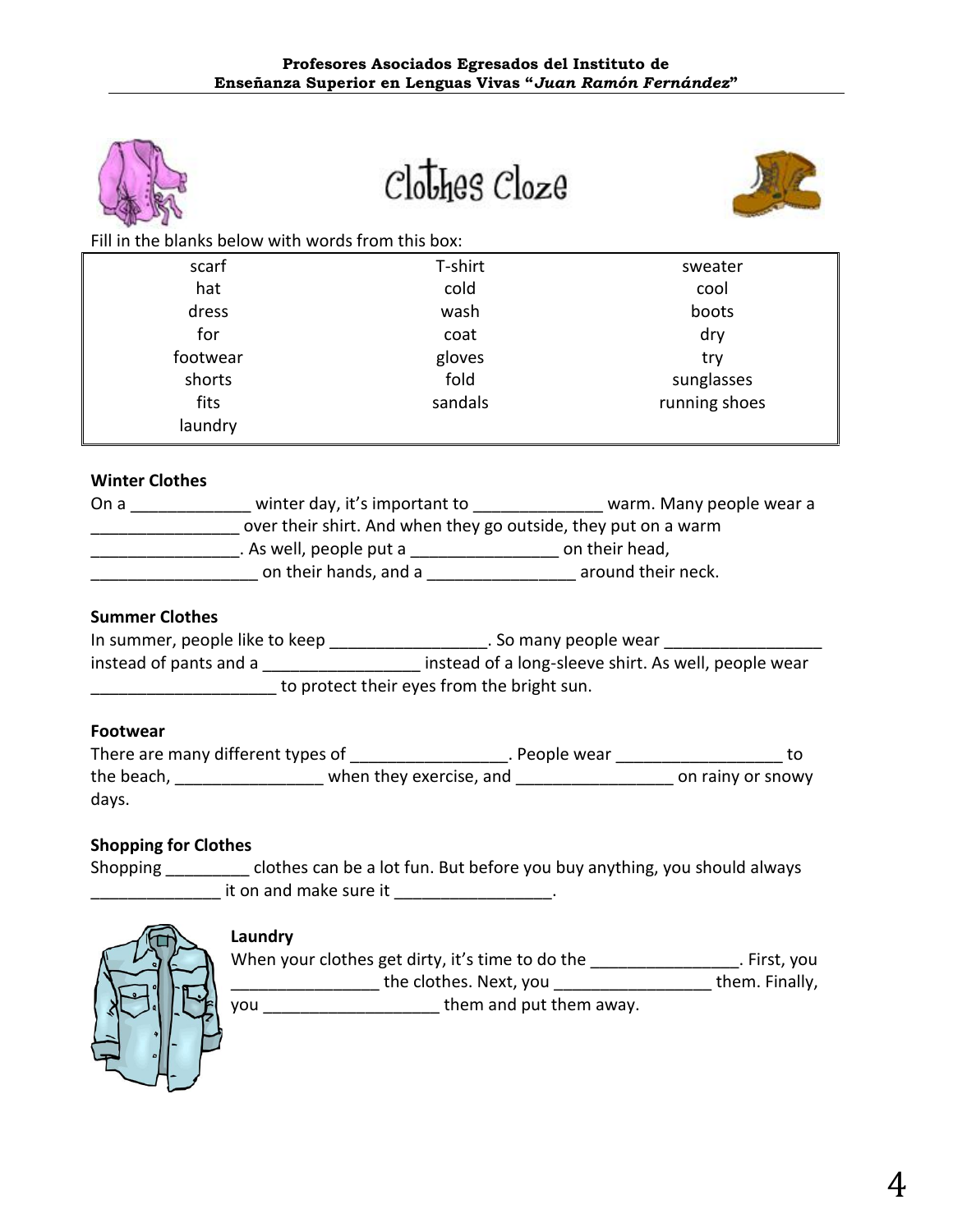

 $clo$ *thes*  $clo$ <sub>ze</sub>



Fill in the blanks below with words from this box:

| scarf    | T-shirt | sweater       |
|----------|---------|---------------|
| hat      | cold    | cool          |
| dress    | wash    | boots         |
| for      | coat    | dry           |
| footwear | gloves  | try           |
| shorts   | fold    | sunglasses    |
| fits     | sandals | running shoes |
| laundry  |         |               |

#### **Winter Clothes**

| On a | winter day, it's important to                                  | warm. Many people wear a |
|------|----------------------------------------------------------------|--------------------------|
|      | over their shirt. And when they go outside, they put on a warm |                          |
|      | . As well, people put a                                        | on their head,           |
|      | on their hands, and a                                          | around their neck.       |

#### **Summer Clothes**

| In summer, people like to keep             | . So many people wear                                |  |
|--------------------------------------------|------------------------------------------------------|--|
| instead of pants and a                     | instead of a long-sleeve shirt. As well, people wear |  |
| to protect their eyes from the bright sun. |                                                      |  |

#### **Footwear**

| There are many different types of |                         | . People wear |                   |
|-----------------------------------|-------------------------|---------------|-------------------|
| the beach,                        | when they exercise, and |               | on rainy or snowy |
| days.                             |                         |               |                   |

# **Shopping for Clothes**

Shopping \_\_\_\_\_\_\_\_\_ clothes can be a lot fun. But before you buy anything, you should always \_\_\_\_\_\_\_\_\_\_\_\_\_\_ it on and make sure it \_\_\_\_\_\_\_\_\_\_\_\_\_\_\_\_\_.



# **Laundry**

When your clothes get dirty, it's time to do the \_\_\_\_\_\_\_\_\_\_\_\_\_\_\_\_\_\_. First, you \_\_\_\_\_\_\_\_\_\_\_\_\_\_\_\_\_\_\_\_\_\_\_the clothes. Next, you \_\_\_\_\_\_\_\_\_\_\_\_\_\_\_\_\_\_\_\_\_\_\_\_\_\_\_them. Finally, you \_\_\_\_\_\_\_\_\_\_\_\_\_\_\_\_\_\_\_ them and put them away.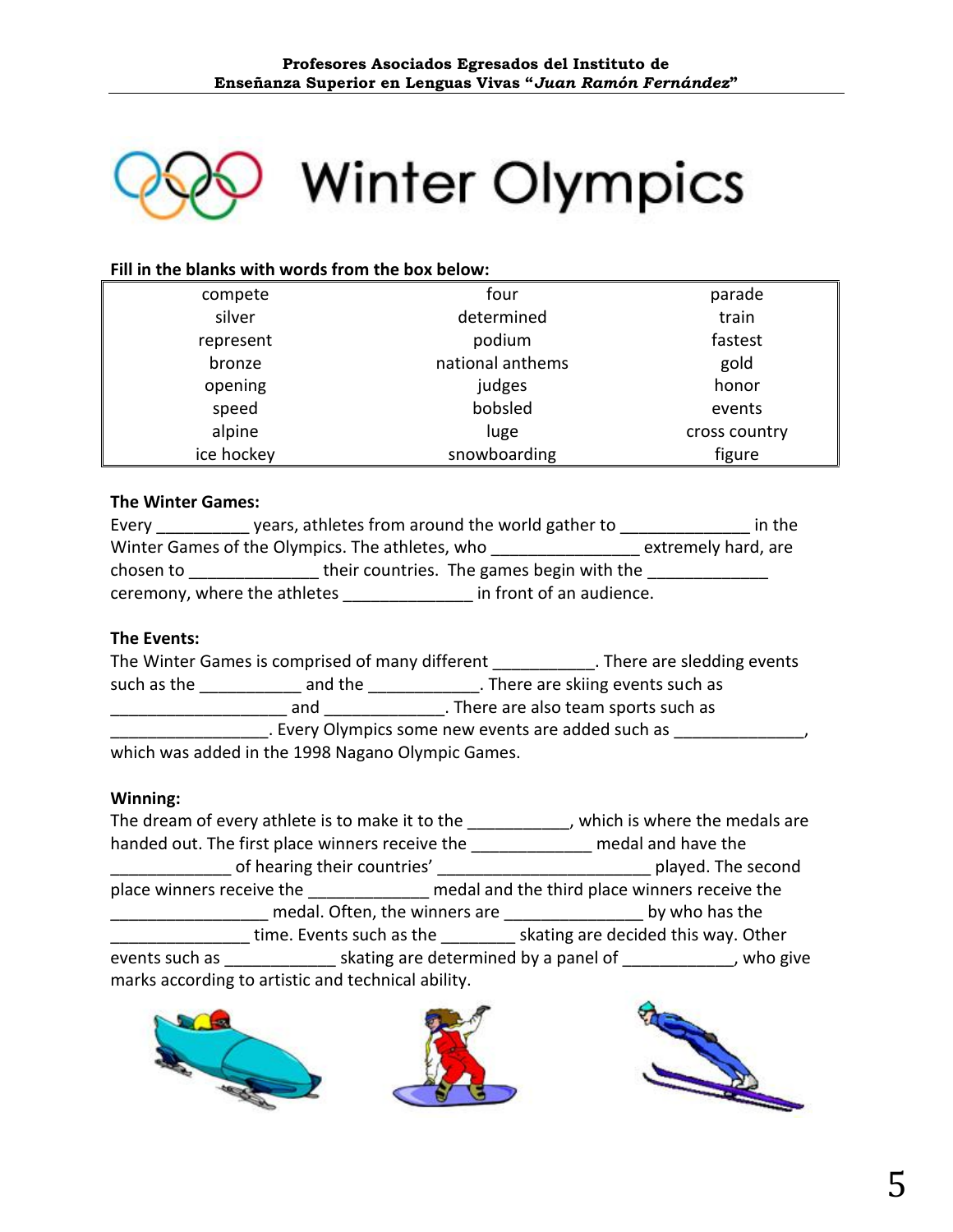

# **Winter Olympics**

# **Fill in the blanks with words from the box below:**

| compete    | four             | parade        |
|------------|------------------|---------------|
| silver     | determined       | train         |
| represent  | podium           | fastest       |
| bronze     | national anthems | gold          |
| opening    | judges           | honor         |
| speed      | bobsled          | events        |
| alpine     | luge             | cross country |
| ice hockey | snowboarding     | figure        |

#### **The Winter Games:**

| Every                                           | years, athletes from around the world gather to | in the              |
|-------------------------------------------------|-------------------------------------------------|---------------------|
| Winter Games of the Olympics. The athletes, who |                                                 | extremely hard, are |
| chosen to                                       | their countries. The games begin with the       |                     |
| ceremony, where the athletes                    | in front of an audience.                        |                     |

#### **The Events:**

|             | The Winter Games is comprised of many different   | . There are sledding events                        |
|-------------|---------------------------------------------------|----------------------------------------------------|
| such as the | and the                                           | . There are skiing events such as                  |
|             | and                                               | . There are also team sports such as               |
|             |                                                   | . Every Olympics some new events are added such as |
|             | which was added in the 1998 Nagano Olympic Games. |                                                    |

#### **Winning:**

The dream of every athlete is to make it to the \_\_\_\_\_\_\_\_\_\_\_, which is where the medals are handed out. The first place winners receive the \_\_\_\_\_\_\_\_\_\_\_\_\_\_ medal and have the \_\_\_\_\_\_\_\_\_\_\_\_\_ of hearing their countries' \_\_\_\_\_\_\_\_\_\_\_\_\_\_\_\_\_\_\_\_\_\_\_ played. The second place winners receive the **now the set of the medal and the third place winners receive the \_\_\_\_\_\_\_\_\_** medal. Often, the winners are \_\_\_\_\_\_\_\_\_\_\_\_\_\_\_\_\_\_by who has the **\_\_\_\_\_\_\_\_\_\_\_\_\_** time. Events such as the \_\_\_\_\_\_\_\_\_ skating are decided this way. Other events such as \_\_\_\_\_\_\_\_\_\_\_\_ skating are determined by a panel of \_\_\_\_\_\_\_\_\_\_\_\_, who give marks according to artistic and technical ability.



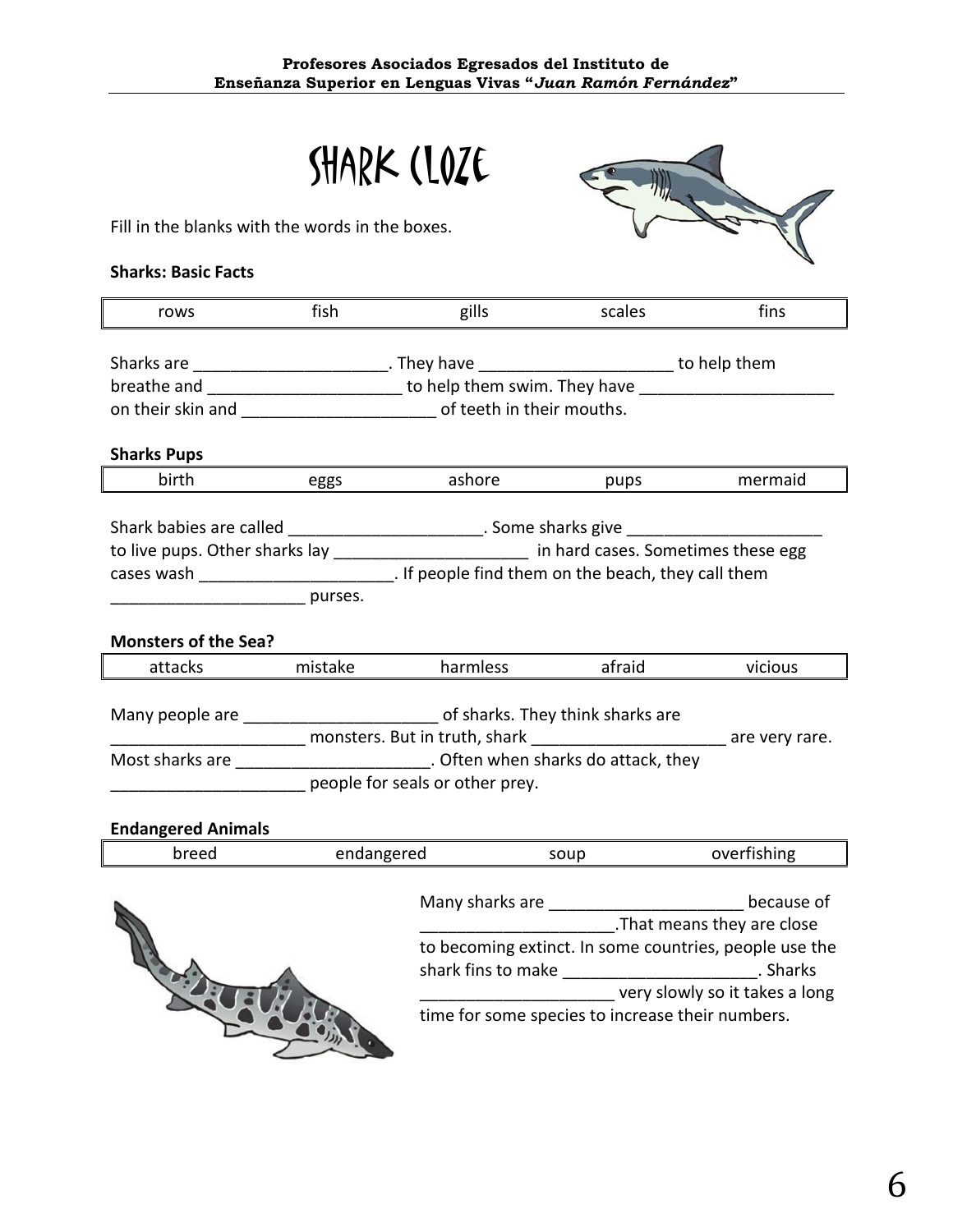|                                                                                                     | SHARK (LOZE                     |          |        |             |
|-----------------------------------------------------------------------------------------------------|---------------------------------|----------|--------|-------------|
| Fill in the blanks with the words in the boxes.                                                     |                                 |          |        |             |
| <b>Sharks: Basic Facts</b>                                                                          |                                 |          |        |             |
| rows                                                                                                | fish                            | gills    | scales | fins        |
| Sharks are ___________________________. They have ____________________________to help them          |                                 |          |        |             |
| breathe and __________________________ to help them swim. They have ___________________             |                                 |          |        |             |
| on their skin and ____________________________ of teeth in their mouths.                            |                                 |          |        |             |
| <b>Sharks Pups</b>                                                                                  |                                 |          |        |             |
| birth                                                                                               | eggs                            | ashore   | pups   | mermaid     |
| Shark babies are called ____________________________. Some sharks give ____________________________ |                                 |          |        |             |
| to live pups. Other sharks lay ________________________ in hard cases. Sometimes these egg          |                                 |          |        |             |
| cases wash ________________________. If people find them on the beach, they call them               |                                 |          |        |             |
| design and the purses.                                                                              |                                 |          |        |             |
| <b>Monsters of the Sea?</b>                                                                         |                                 |          |        |             |
| attacks                                                                                             | mistake                         | harmless | afraid | vicious     |
| Many people are ________________________ of sharks. They think sharks are                           |                                 |          |        |             |
| monsters. But in truth, shark and the same very rare.                                               |                                 |          |        |             |
| Most sharks are <u>contact and a series of the Often</u> when sharks do attack, they                |                                 |          |        |             |
|                                                                                                     | people for seals or other prey. |          |        |             |
| <b>Endangered Animals</b>                                                                           |                                 |          |        |             |
| breed                                                                                               | endangered                      |          | soup   | overfishing |
|                                                                                                     |                                 |          |        |             |

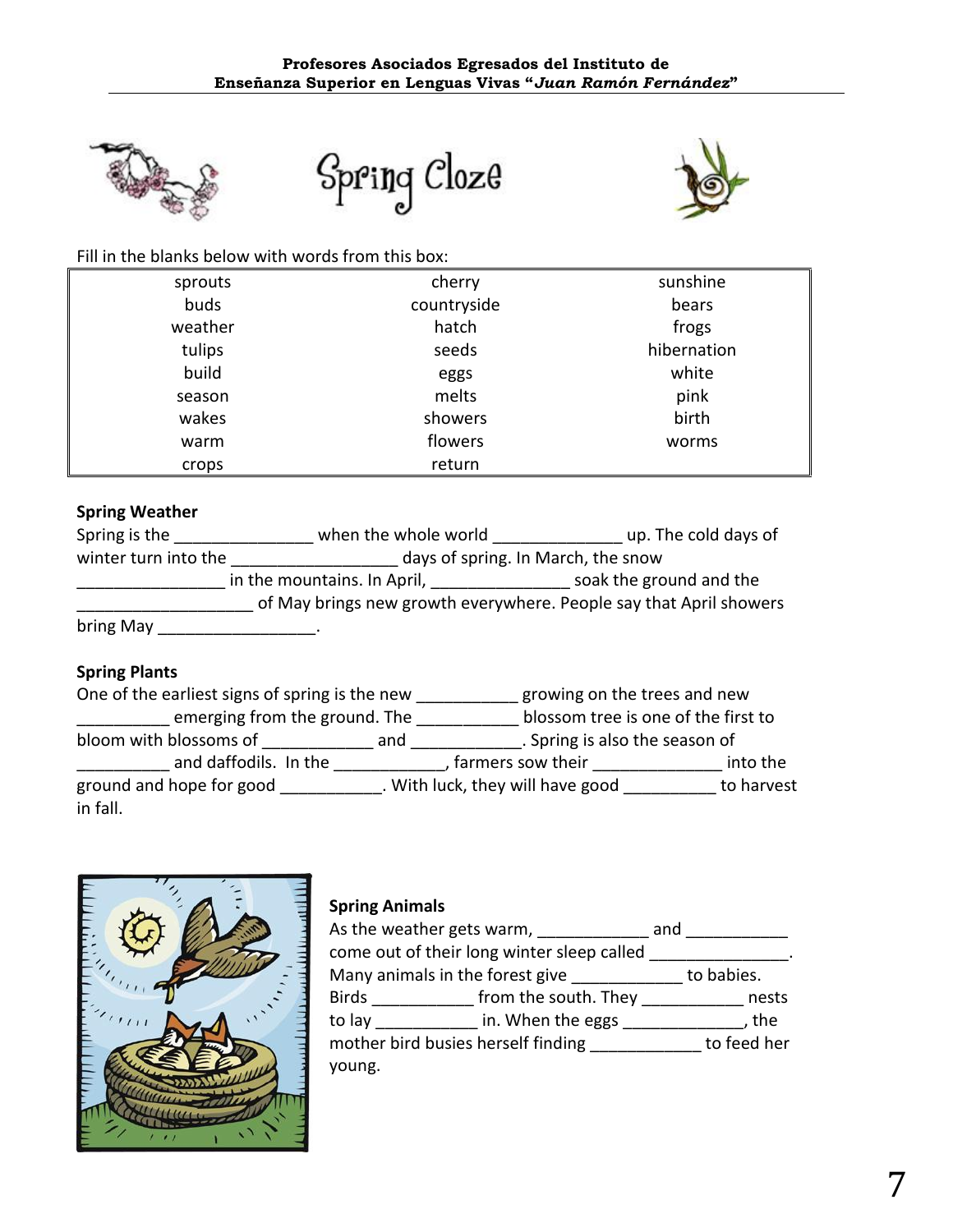





#### Fill in the blanks below with words from this box:

| sprouts | cherry      | sunshine    |
|---------|-------------|-------------|
| buds    | countryside | bears       |
| weather | hatch       | frogs       |
| tulips  | seeds       | hibernation |
| build   | eggs        | white       |
| season  | melts       | pink        |
| wakes   | showers     | birth       |
| warm    | flowers     | worms       |
| crops   | return      |             |

# **Spring Weather**

| Spring is the        | when the whole world               | up. The cold days of                                               |  |  |
|----------------------|------------------------------------|--------------------------------------------------------------------|--|--|
| winter turn into the | days of spring. In March, the snow |                                                                    |  |  |
|                      | in the mountains. In April,        | soak the ground and the                                            |  |  |
|                      |                                    | of May brings new growth everywhere. People say that April showers |  |  |
| bring May            |                                    |                                                                    |  |  |

# **Spring Plants**

One of the earliest signs of spring is the new \_\_\_\_\_\_\_\_\_\_\_ growing on the trees and new **\_\_\_\_\_\_\_\_\_\_** emerging from the ground. The \_\_\_\_\_\_\_\_\_\_\_\_ blossom tree is one of the first to bloom with blossoms of \_\_\_\_\_\_\_\_\_\_\_\_\_\_ and \_\_\_\_\_\_\_\_\_\_\_\_\_\_. Spring is also the season of \_\_\_\_\_\_\_\_\_\_\_\_ and daffodils. In the \_\_\_\_\_\_\_\_\_\_\_\_\_\_, farmers sow their \_\_\_\_\_\_\_\_\_\_\_\_\_\_\_\_\_ into the ground and hope for good entity and Mick, they will have good to harvest in fall.



# **Spring Animals**

| As the weather gets warm,<br>and   |                                                                                                                                                                                                                                      |  |             |
|------------------------------------|--------------------------------------------------------------------------------------------------------------------------------------------------------------------------------------------------------------------------------------|--|-------------|
|                                    | come out of their long winter sleep called                                                                                                                                                                                           |  |             |
| Many animals in the forest give    | <u>and the state of the state of the state of the state of the state of the state of the state of the state of the state of the state of the state of the state of the state of the state of the state of the state of the state</u> |  | to babies.  |
|                                    | Birds <b>Example 1</b> south. They                                                                                                                                                                                                   |  | nests       |
| to lay                             | in. When the eggs                                                                                                                                                                                                                    |  | , the       |
| mother bird busies herself finding |                                                                                                                                                                                                                                      |  | to feed her |
| young.                             |                                                                                                                                                                                                                                      |  |             |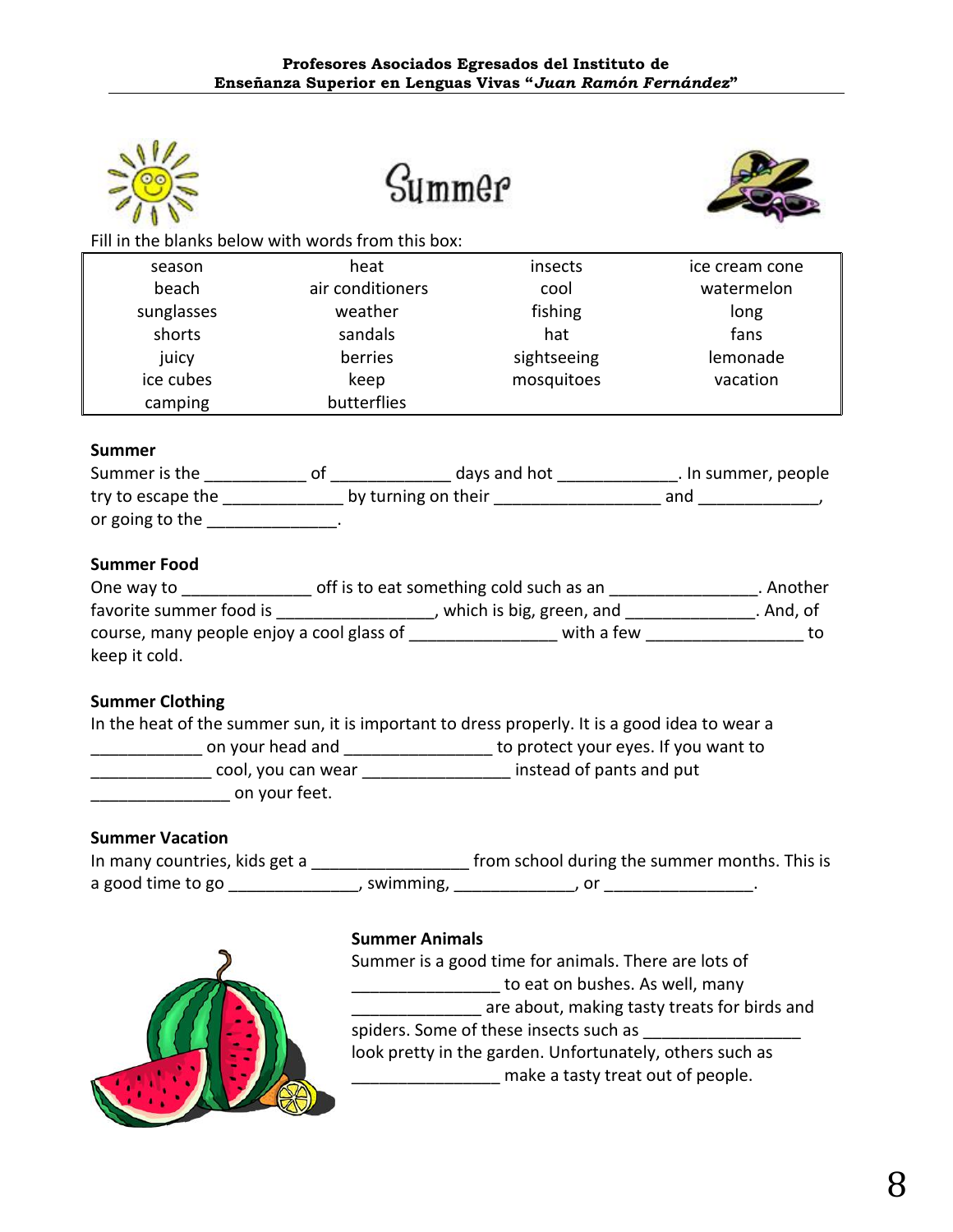

Summer



Fill in the blanks below with words from this box:

| season     | heat             | insects     | ice cream cone |
|------------|------------------|-------------|----------------|
| beach      | air conditioners | cool        | watermelon     |
| sunglasses | weather          | fishing     | long           |
| shorts     | sandals          | hat         | fans           |
| juicy      | berries          | sightseeing | lemonade       |
| ice cubes  | keep             | mosquitoes  | vacation       |
| camping    | butterflies      |             |                |

#### **Summer**

| Summer is the     | days and hot        | . In summer, people |  |
|-------------------|---------------------|---------------------|--|
| try to escape the | by turning on their | and                 |  |
| or going to the   |                     |                     |  |

# **Summer Food**

| One way to                                | off is to eat something cold such as an |                          | . Another |
|-------------------------------------------|-----------------------------------------|--------------------------|-----------|
| favorite summer food is                   |                                         | which is big, green, and | . And, of |
| course, many people enjoy a cool glass of |                                         | with a few               |           |
| keep it cold.                             |                                         |                          |           |

# **Summer Clothing**

| In the heat of the summer sun, it is important to dress properly. It is a good idea to wear a |                                      |  |  |
|-----------------------------------------------------------------------------------------------|--------------------------------------|--|--|
| on your head and                                                                              | to protect your eyes. If you want to |  |  |
| cool, you can wear                                                                            | instead of pants and put             |  |  |
| on your feet.                                                                                 |                                      |  |  |

# **Summer Vacation**

| In many countries, kids get a |           | from school during the summer months. This is |  |
|-------------------------------|-----------|-----------------------------------------------|--|
| a good time to go             | swimming, |                                               |  |



#### **Summer Animals**